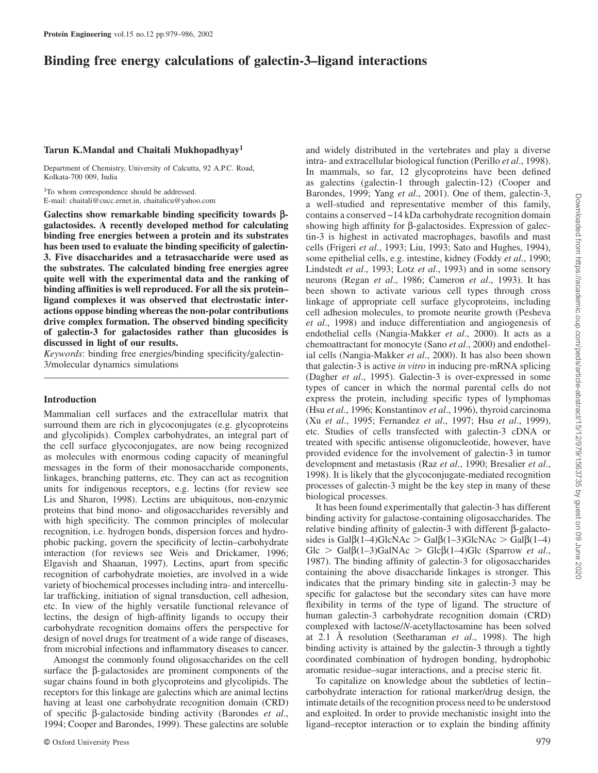# **Binding free energy calculations of galectin-3–ligand interactions**

### **Tarun K.Mandal and Chaitali Mukhopadhyay<sup>1</sup>**

Department of Chemistry, University of Calcutta, 92 A.P.C. Road, Kolkata-700 009, India

<sup>1</sup>To whom correspondence should be addressed. E-mail: chaitali@cucc.ernet.in, chaitalicu@yahoo.com

**Galectins show remarkable binding specificity towards βgalactosides. A recently developed method for calculating binding free energies between a protein and its substrates has been used to evaluate the binding specificity of galectin-3. Five disaccharides and a tetrasaccharide were used as the substrates. The calculated binding free energies agree quite well with the experimental data and the ranking of binding affinities is well reproduced. For all the six protein– ligand complexes it was observed that electrostatic interactions oppose binding whereas the non-polar contributions drive complex formation. The observed binding specificity of galectin-3 for galactosides rather than glucosides is discussed in light of our results.**

*Keywords*: binding free energies/binding specificity/galectin-3/molecular dynamics simulations

### **Introduction**

Mammalian cell surfaces and the extracellular matrix that surround them are rich in glycoconjugates (e.g. glycoproteins and glycolipids). Complex carbohydrates, an integral part of the cell surface glycoconjugates, are now being recognized as molecules with enormous coding capacity of meaningful messages in the form of their monosaccharide components, linkages, branching patterns, etc. They can act as recognition units for indigenous receptors, e.g. lectins (for review see Lis and Sharon, 1998). Lectins are ubiquitous, non-enzymic proteins that bind mono- and oligosaccharides reversibly and with high specificity. The common principles of molecular recognition, i.e. hydrogen bonds, dispersion forces and hydrophobic packing, govern the specificity of lectin–carbohydrate interaction (for reviews see Weis and Drickamer, 1996; Elgavish and Shaanan, 1997). Lectins, apart from specific recognition of carbohydrate moieties, are involved in a wide variety of biochemical processes including intra- and intercellular trafficking, initiation of signal transduction, cell adhesion, etc. In view of the highly versatile functional relevance of lectins, the design of high-affinity ligands to occupy their carbohydrate recognition domains offers the perspective for design of novel drugs for treatment of a wide range of diseases, from microbial infections and inflammatory diseases to cancer.

Amongst the commonly found oligosaccharides on the cell surface the β-galactosides are prominent components of the sugar chains found in both glycoproteins and glycolipids. The receptors for this linkage are galectins which are animal lectins having at least one carbohydrate recognition domain (CRD) of specific β-galactoside binding activity (Barondes *et al*., 1994; Cooper and Barondes, 1999). These galectins are soluble

and widely distributed in the vertebrates and play a diverse intra- and extracellular biological function (Perillo *et al*., 1998). In mammals, so far, 12 glycoproteins have been defined as galectins (galectin-1 through galectin-12) (Cooper and Barondes, 1999; Yang *et al*., 2001). One of them, galectin-3, a well-studied and representative member of this family, contains a conserved ~14 kDa carbohydrate recognition domain showing high affinity for β-galactosides. Expression of galectin-3 is highest in activated macrophages, basofils and mast cells (Frigeri *et al*., 1993; Liu, 1993; Sato and Hughes, 1994), some epithelial cells, e.g. intestine, kidney (Foddy *et al*., 1990; Lindstedt *et al*., 1993; Lotz *et al*., 1993) and in some sensory neurons (Regan *et al*., 1986; Cameron *et al*., 1993). It has been shown to activate various cell types through cross linkage of appropriate cell surface glycoproteins, including cell adhesion molecules, to promote neurite growth (Pesheva *et al*., 1998) and induce differentiation and angiogenesis of endothelial cells (Nangia-Makker *et al*., 2000). It acts as a chemoattractant for monocyte (Sano *et al*., 2000) and endothelial cells (Nangia-Makker *et al*., 2000). It has also been shown that galectin-3 is active *in vitro* in inducing pre-mRNA splicing (Dagher *et al*., 1995). Galectin-3 is over-expressed in some types of cancer in which the normal parental cells do not express the protein, including specific types of lymphomas (Hsu *et al*., 1996; Konstantinov *et al*., 1996), thyroid carcinoma (Xu *et al*., 1995; Fernandez *et al*., 1997; Hsu *et al*., 1999), etc. Studies of cells transfected with galectin-3 cDNA or treated with specific antisense oligonucleotide, however, have provided evidence for the involvement of galectin-3 in tumor development and metastasis (Raz *et al*., 1990; Bresalier *et al*., 1998). It is likely that the glycoconjugate-mediated recognition processes of galectin-3 might be the key step in many of these biological processes.

It has been found experimentally that galectin-3 has different binding activity for galactose-containing oligosaccharides. The relative binding affinity of galectin-3 with different β-galactosides is Gal $\beta$ (1–4)GlcNAc > Gal $\beta$ (1–3)GlcNAc > Gal $\beta$ (1–4) Glc > Gal $\beta$ (1–3)GalNAc > Glc $\beta$ (1–4)Glc (Sparrow *et al.*, 1987). The binding affinity of galectin-3 for oligosaccharides containing the above disaccharide linkages is stronger. This indicates that the primary binding site in galectin-3 may be specific for galactose but the secondary sites can have more flexibility in terms of the type of ligand. The structure of human galectin-3 carbohydrate recognition domain (CRD) complexed with lactose/*N*-acetyllactosamine has been solved at 2.1 Å resolution (Seetharaman *et al*., 1998). The high binding activity is attained by the galectin-3 through a tightly coordinated combination of hydrogen bonding, hydrophobic aromatic residue–sugar interactions, and a precise steric fit.

To capitalize on knowledge about the subtleties of lectin– carbohydrate interaction for rational marker/drug design, the intimate details of the recognition process need to be understood and exploited. In order to provide mechanistic insight into the ligand–receptor interaction or to explain the binding affinity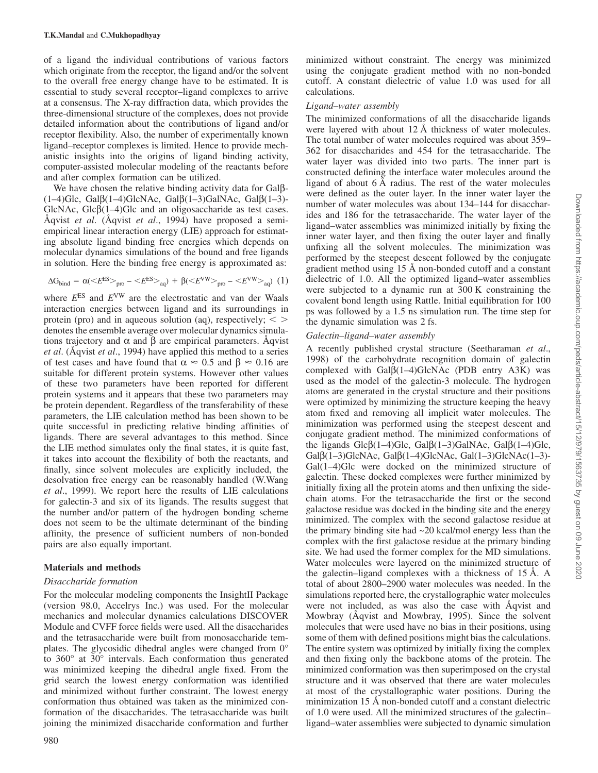of a ligand the individual contributions of various factors which originate from the receptor, the ligand and/or the solvent to the overall free energy change have to be estimated. It is essential to study several receptor–ligand complexes to arrive at a consensus. The X-ray diffraction data, which provides the three-dimensional structure of the complexes, does not provide detailed information about the contributions of ligand and/or receptor flexibility. Also, the number of experimentally known ligand–receptor complexes is limited. Hence to provide mechanistic insights into the origins of ligand binding activity, computer-assisted molecular modeling of the reactants before and after complex formation can be utilized.

We have chosen the relative binding activity data for Galβ- (1–4)Glc, Gal $\beta$ (1–4)GlcNAc, Gal $\beta$ (1–3)GalNAc, Gal $\beta$ (1–3)-GlcNAc,  $Glc\beta(1-4)$ Glc and an oligosaccharide as test cases. Åqvist *et al*. (Åqvist *et al*., 1994) have proposed a semiempirical linear interaction energy (LIE) approach for estimating absolute ligand binding free energies which depends on molecular dynamics simulations of the bound and free ligands in solution. Here the binding free energy is approximated as:

$$
\Delta G_{bind} \, = \, \alpha(<\!\!E^{ES}\!\!>_{pro} - <\!\!E^{ES}\!\!>_{aq}) \, + \, \beta(<\!\!E^{\rm VW}\!\!>_{pro} - <\!\!E^{\rm VW}\!\!>_{aq}) \, (1)
$$

where  $E^{ES}$  and  $E^{VW}$  are the electrostatic and van der Waals interaction energies between ligand and its surroundings in protein (pro) and in aqueous solution (aq), respectively;  $\lt$  > denotes the ensemble average over molecular dynamics simulations trajectory and  $\alpha$  and  $\beta$  are empirical parameters. Åqvist *et al*. (Åqvist *et al*., 1994) have applied this method to a series of test cases and have found that  $\alpha \approx 0.5$  and  $\beta \approx 0.16$  are suitable for different protein systems. However other values of these two parameters have been reported for different protein systems and it appears that these two parameters may be protein dependent. Regardless of the transferability of these parameters, the LIE calculation method has been shown to be quite successful in predicting relative binding affinities of ligands. There are several advantages to this method. Since the LIE method simulates only the final states, it is quite fast, it takes into account the flexibility of both the reactants, and finally, since solvent molecules are explicitly included, the desolvation free energy can be reasonably handled (W.Wang *et al*., 1999). We report here the results of LIE calculations for galectin-3 and six of its ligands. The results suggest that the number and/or pattern of the hydrogen bonding scheme does not seem to be the ultimate determinant of the binding affinity, the presence of sufficient numbers of non-bonded pairs are also equally important.

### **Materials and methods**

# *Disaccharide formation*

For the molecular modeling components the InsightII Package (version 98.0, Accelrys Inc.) was used. For the molecular mechanics and molecular dynamics calculations DISCOVER Module and CVFF force fields were used. All the disaccharides and the tetrasaccharide were built from monosaccharide templates. The glycosidic dihedral angles were changed from 0° to 360° at 30° intervals. Each conformation thus generated was minimized keeping the dihedral angle fixed. From the grid search the lowest energy conformation was identified and minimized without further constraint. The lowest energy conformation thus obtained was taken as the minimized conformation of the disaccharides. The tetrasaccharide was built joining the minimized disaccharide conformation and further

minimized without constraint. The energy was minimized using the conjugate gradient method with no non-bonded cutoff. A constant dielectric of value 1.0 was used for all calculations.

## *Ligand–water assembly*

The minimized conformations of all the disaccharide ligands were layered with about 12 Å thickness of water molecules. The total number of water molecules required was about 359– 362 for disaccharides and 454 for the tetrasaccharide. The water layer was divided into two parts. The inner part is constructed defining the interface water molecules around the ligand of about 6 Å radius. The rest of the water molecules were defined as the outer layer. In the inner water layer the number of water molecules was about 134–144 for disaccharides and 186 for the tetrasaccharide. The water layer of the ligand–water assemblies was minimized initially by fixing the inner water layer, and then fixing the outer layer and finally unfixing all the solvent molecules. The minimization was performed by the steepest descent followed by the conjugate gradient method using 15 Å non-bonded cutoff and a constant dielectric of 1.0. All the optimized ligand–water assemblies were subjected to a dynamic run at 300 K constraining the covalent bond length using Rattle. Initial equilibration for 100 ps was followed by a 1.5 ns simulation run. The time step for the dynamic simulation was 2 fs.

# *Galectin–ligand–water assembly*

A recently published crystal structure (Seetharaman *et al*., 1998) of the carbohydrate recognition domain of galectin complexed with Galβ(1–4)GlcNAc (PDB entry A3K) was used as the model of the galectin-3 molecule. The hydrogen atoms are generated in the crystal structure and their positions were optimized by minimizing the structure keeping the heavy atom fixed and removing all implicit water molecules. The minimization was performed using the steepest descent and conjugate gradient method. The minimized conformations of the ligands Glcβ(1–4)Glc, Galβ(1–3)GalNAc, Galβ(1–4)Glc, Galβ(1–3)GlcNAc, Galβ(1–4)GlcNAc, Gal(1–3)GlcNAc(1–3)- Gal(1–4)Glc were docked on the minimized structure of galectin. These docked complexes were further minimized by initially fixing all the protein atoms and then unfixing the sidechain atoms. For the tetrasaccharide the first or the second galactose residue was docked in the binding site and the energy minimized. The complex with the second galactose residue at the primary binding site had ~20 kcal/mol energy less than the complex with the first galactose residue at the primary binding site. We had used the former complex for the MD simulations. Water molecules were layered on the minimized structure of the galectin–ligand complexes with a thickness of 15 Å. A total of about 2800–2900 water molecules was needed. In the simulations reported here, the crystallographic water molecules were not included, as was also the case with Åqvist and Mowbray (Åqvist and Mowbray, 1995). Since the solvent molecules that were used have no bias in their positions, using some of them with defined positions might bias the calculations. The entire system was optimized by initially fixing the complex and then fixing only the backbone atoms of the protein. The minimized conformation was then superimposed on the crystal structure and it was observed that there are water molecules at most of the crystallographic water positions. During the minimization 15 Å non-bonded cutoff and a constant dielectric of 1.0 were used. All the minimized structures of the galectin– ligand–water assemblies were subjected to dynamic simulation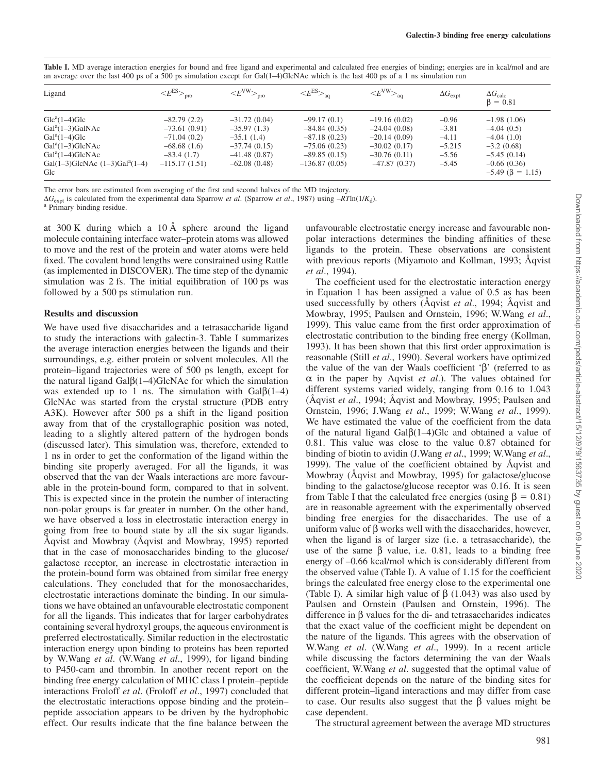**Table I.** MD average interaction energies for bound and free ligand and experimental and calculated free energies of binding; energies are in kcal/mol and are an average over the last 400 ps of a 500 ps simulation except for Gal(1-4)GlcNAc which is the last 400 ps of a 1 ns simulation run

| Ligand                                                                                                                                                                            | $\langle E^{\text{ES}} \rangle_{\text{pro}}$                                                         | $\left\langle E^{\rm VW}\right\rangle_{\rm pro}$                                                      | $\left\langle E^{\text{ES}}\right\rangle _{\text{aq}}$                                                   | $\langle E^{\rm VW} \rangle$ <sub>ag</sub>                                                               | $\Delta G_{\rm expt}$                                           | $\Delta G_{\rm calc}$<br>$\beta = 0.81$                                                                                       |
|-----------------------------------------------------------------------------------------------------------------------------------------------------------------------------------|------------------------------------------------------------------------------------------------------|-------------------------------------------------------------------------------------------------------|----------------------------------------------------------------------------------------------------------|----------------------------------------------------------------------------------------------------------|-----------------------------------------------------------------|-------------------------------------------------------------------------------------------------------------------------------|
| Glc <sup>a</sup> (1–4)Glc<br>Gal <sup>a</sup> (1–3)GalNAc<br>$Gala(1-4)Glc$<br>Gal <sup>a</sup> (1–3)GlcNAc<br>$Gala(1-4)GlcNAc$<br>Gal $(1-3)$ GlcNAc $(1-3)$ Gal $(1-4)$<br>Glc | $-82.79(2.2)$<br>$-73.61(0.91)$<br>$-71.04(0.2)$<br>$-68.68(1.6)$<br>$-83.4(1.7)$<br>$-115.17(1.51)$ | $-31.72(0.04)$<br>$-35.97(1.3)$<br>$-35.1(1.4)$<br>$-37.74(0.15)$<br>$-41.48(0.87)$<br>$-62.08(0.48)$ | $-99.17(0.1)$<br>$-84.84(0.35)$<br>$-87.18(0.23)$<br>$-75.06(0.23)$<br>$-89.85(0.15)$<br>$-136.87(0.05)$ | $-19.16(0.02)$<br>$-24.04(0.08)$<br>$-20.14(0.09)$<br>$-30.02(0.17)$<br>$-30.76(0.11)$<br>$-47.87(0.37)$ | $-0.96$<br>$-3.81$<br>$-4.11$<br>$-5.215$<br>$-5.56$<br>$-5.45$ | $-1.98(1.06)$<br>$-4.04(0.5)$<br>$-4.04(1.0)$<br>$-3.2(0.68)$<br>$-5.45(0.14)$<br>$-0.66(0.36)$<br>$-5.49$ ( $\beta = 1.15$ ) |

The error bars are estimated from averaging of the first and second halves of the MD trajectory.

<sup>∆</sup>*G*expt is calculated from the experimental data Sparrow *et al*. (Sparrow *et al*., 1987) using –*RT*ln(1/*K*d). <sup>a</sup> Primary binding residue.

at 300 K during which a 10 Å sphere around the ligand molecule containing interface water–protein atoms was allowed to move and the rest of the protein and water atoms were held fixed. The covalent bond lengths were constrained using Rattle (as implemented in DISCOVER). The time step of the dynamic simulation was 2 fs. The initial equilibration of 100 ps was followed by a 500 ps stimulation run.

### **Results and discussion**

We have used five disaccharides and a tetrasaccharide ligand to study the interactions with galectin-3. Table I summarizes the average interaction energies between the ligands and their surroundings, e.g. either protein or solvent molecules. All the protein–ligand trajectories were of 500 ps length, except for the natural ligand Galβ(1–4)GlcNAc for which the simulation was extended up to 1 ns. The simulation with  $GaI\beta(1-4)$ GlcNAc was started from the crystal structure (PDB entry A3K). However after 500 ps a shift in the ligand position away from that of the crystallographic position was noted, leading to a slightly altered pattern of the hydrogen bonds (discussed later). This simulation was, therefore, extended to 1 ns in order to get the conformation of the ligand within the binding site properly averaged. For all the ligands, it was observed that the van der Waals interactions are more favourable in the protein-bound form, compared to that in solvent. This is expected since in the protein the number of interacting non-polar groups is far greater in number. On the other hand, we have observed a loss in electrostatic interaction energy in going from free to bound state by all the six sugar ligands. Åqvist and Mowbray (Åqvist and Mowbray, 1995) reported that in the case of monosaccharides binding to the glucose/ galactose receptor, an increase in electrostatic interaction in the protein-bound form was obtained from similar free energy calculations. They concluded that for the monosaccharides, electrostatic interactions dominate the binding. In our simulations we have obtained an unfavourable electrostatic component for all the ligands. This indicates that for larger carbohydrates containing several hydroxyl groups, the aqueous environment is preferred electrostatically. Similar reduction in the electrostatic interaction energy upon binding to proteins has been reported by W.Wang *et al*. (W.Wang *et al*., 1999), for ligand binding to P450-cam and thrombin. In another recent report on the binding free energy calculation of MHC class I protein–peptide interactions Froloff *et al*. (Froloff *et al*., 1997) concluded that the electrostatic interactions oppose binding and the protein– peptide association appears to be driven by the hydrophobic effect. Our results indicate that the fine balance between the

unfavourable electrostatic energy increase and favourable nonpolar interactions determines the binding affinities of these ligands to the protein. These observations are consistent with previous reports (Miyamoto and Kollman, 1993; Åqvist *et al*., 1994).

The coefficient used for the electrostatic interaction energy in Equation 1 has been assigned a value of 0.5 as has been used successfully by others (Åqvist *et al*., 1994; Åqvist and Mowbray, 1995; Paulsen and Ornstein, 1996; W.Wang *et al*., 1999). This value came from the first order approximation of electrostatic contribution to the binding free energy (Kollman, 1993). It has been shown that this first order approximation is reasonable (Still *et al*., 1990). Several workers have optimized the value of the van der Waals coefficient 'β' (referred to as α in the paper by Aqvist *et al*.). The values obtained for different systems varied widely, ranging from 0.16 to 1.043 (Åqvist *et al*., 1994; Åqvist and Mowbray, 1995; Paulsen and Ornstein, 1996; J.Wang *et al*., 1999; W.Wang *et al*., 1999). We have estimated the value of the coefficient from the data of the natural ligand Galβ(1–4)Glc and obtained a value of 0.81. This value was close to the value 0.87 obtained for binding of biotin to avidin (J.Wang *et al*., 1999; W.Wang *et al*., 1999). The value of the coefficient obtained by Åqvist and Mowbray (Åqvist and Mowbray, 1995) for galactose/glucose binding to the galactose/glucose receptor was 0.16. It is seen from Table I that the calculated free energies (using  $β = 0.81$ ) are in reasonable agreement with the experimentally observed binding free energies for the disaccharides. The use of a uniform value of β works well with the disaccharides, however, when the ligand is of larger size (i.e. a tetrasaccharide), the use of the same  $\beta$  value, i.e. 0.81, leads to a binding free energy of –0.66 kcal/mol which is considerably different from the observed value (Table I). A value of 1.15 for the coefficient brings the calculated free energy close to the experimental one (Table I). A similar high value of β (1.043) was also used by Paulsen and Ornstein (Paulsen and Ornstein, 1996). The difference in β values for the di- and tetrasaccharides indicates that the exact value of the coefficient might be dependent on the nature of the ligands. This agrees with the observation of W.Wang *et al*. (W.Wang *et al*., 1999). In a recent article while discussing the factors determining the van der Waals coefficient, W.Wang *et al*. suggested that the optimal value of the coefficient depends on the nature of the binding sites for different protein–ligand interactions and may differ from case to case. Our results also suggest that the β values might be case dependent.

The structural agreement between the average MD structures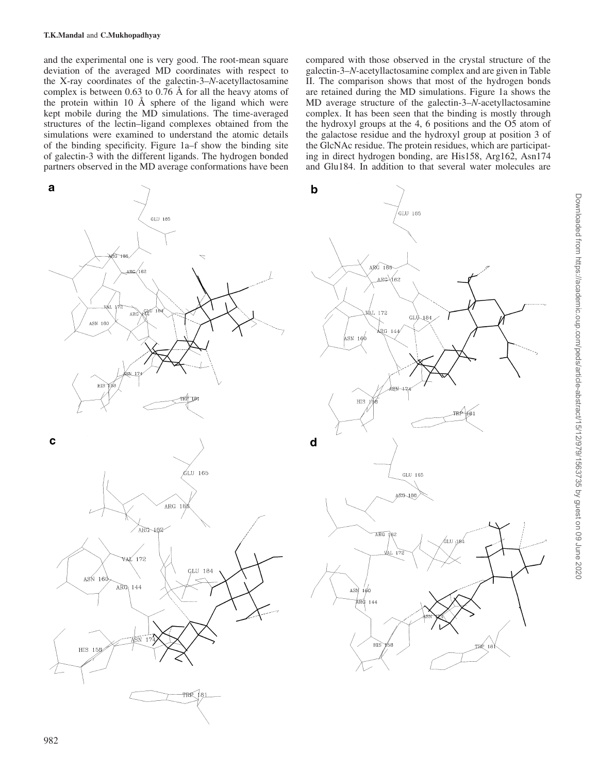and the experimental one is very good. The root-mean square deviation of the averaged MD coordinates with respect to the X-ray coordinates of the galectin-3–*N*-acetyllactosamine complex is between 0.63 to 0.76 Å for all the heavy atoms of the protein within 10 Å sphere of the ligand which were kept mobile during the MD simulations. The time-averaged structures of the lectin–ligand complexes obtained from the simulations were examined to understand the atomic details of the binding specificity. Figure 1a–f show the binding site of galectin-3 with the different ligands. The hydrogen bonded partners observed in the MD average conformations have been





compared with those observed in the crystal structure of the galectin-3–*N*-acetyllactosamine complex and are given in Table II. The comparison shows that most of the hydrogen bonds are retained during the MD simulations. Figure 1a shows the MD average structure of the galectin-3–*N*-acetyllactosamine complex. It has been seen that the binding is mostly through the hydroxyl groups at the 4, 6 positions and the O5 atom of the galactose residue and the hydroxyl group at position 3 of the GlcNAc residue. The protein residues, which are participating in direct hydrogen bonding, are His158, Arg162, Asn174 and Glu184. In addition to that several water molecules are

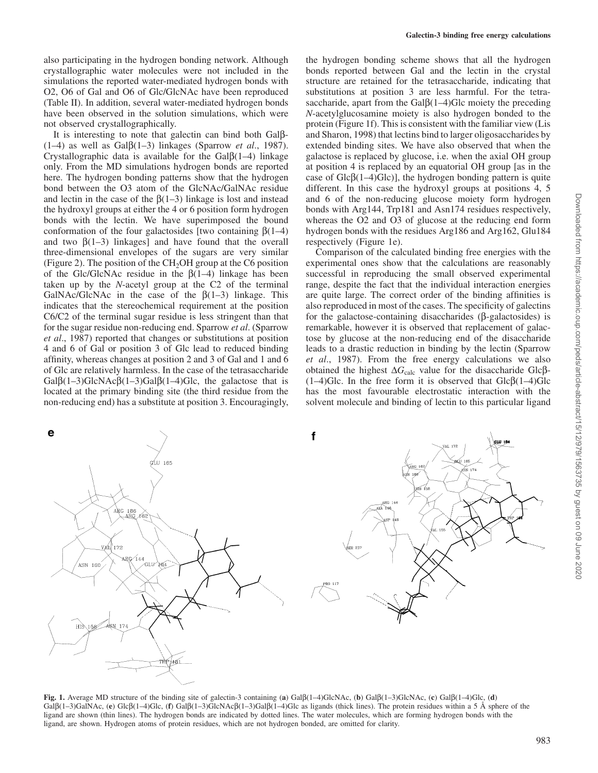also participating in the hydrogen bonding network. Although crystallographic water molecules were not included in the simulations the reported water-mediated hydrogen bonds with O2, O6 of Gal and O6 of Glc/GlcNAc have been reproduced (Table II). In addition, several water-mediated hydrogen bonds have been observed in the solution simulations, which were not observed crystallographically.

It is interesting to note that galectin can bind both Galβ- (1–4) as well as Galβ(1–3) linkages (Sparrow *et al*., 1987). Crystallographic data is available for the Galβ(1–4) linkage only. From the MD simulations hydrogen bonds are reported here. The hydrogen bonding patterns show that the hydrogen bond between the O3 atom of the GlcNAc/GalNAc residue and lectin in the case of the  $\beta(1-3)$  linkage is lost and instead the hydroxyl groups at either the 4 or 6 position form hydrogen bonds with the lectin. We have superimposed the bound conformation of the four galactosides [two containing  $β(1-4)$ ] and two  $\beta(1-3)$  linkages] and have found that the overall three-dimensional envelopes of the sugars are very similar (Figure 2). The position of the  $CH<sub>2</sub>OH$  group at the C6 position of the Glc/GlcNAc residue in the  $\beta(1-4)$  linkage has been taken up by the *N*-acetyl group at the C2 of the terminal GalNAc/GlcNAc in the case of the  $\beta(1-3)$  linkage. This indicates that the stereochemical requirement at the position C6/C2 of the terminal sugar residue is less stringent than that for the sugar residue non-reducing end. Sparrow *et al*. (Sparrow *et al*., 1987) reported that changes or substitutions at position 4 and 6 of Gal or position 3 of Glc lead to reduced binding affinity, whereas changes at position 2 and 3 of Gal and 1 and 6 of Glc are relatively harmless. In the case of the tetrasaccharide Gal $\beta$ (1–3)GlcNAc $\beta$ (1–3)Gal $\beta$ (1–4)Glc, the galactose that is located at the primary binding site (the third residue from the non-reducing end) has a substitute at position 3. Encouragingly, the hydrogen bonding scheme shows that all the hydrogen bonds reported between Gal and the lectin in the crystal structure are retained for the tetrasaccharide, indicating that substitutions at position 3 are less harmful. For the tetrasaccharide, apart from the Gal $\beta(1-4)$ Glc moiety the preceding *N*-acetylglucosamine moiety is also hydrogen bonded to the protein (Figure 1f). This is consistent with the familiar view (Lis and Sharon, 1998) that lectins bind to larger oligosaccharides by extended binding sites. We have also observed that when the galactose is replaced by glucose, i.e. when the axial OH group at position 4 is replaced by an equatorial OH group [as in the case of  $Glc\beta(1-4)Glc$ ], the hydrogen bonding pattern is quite different. In this case the hydroxyl groups at positions 4, 5 and 6 of the non-reducing glucose moiety form hydrogen bonds with Arg144, Trp181 and Asn174 residues respectively, whereas the O2 and O3 of glucose at the reducing end form hydrogen bonds with the residues Arg186 and Arg162, Glu184 respectively (Figure 1e).

Comparison of the calculated binding free energies with the experimental ones show that the calculations are reasonably successful in reproducing the small observed experimental range, despite the fact that the individual interaction energies are quite large. The correct order of the binding affinities is also reproduced in most of the cases. The specificity of galectins for the galactose-containing disaccharides (β-galactosides) is remarkable, however it is observed that replacement of galactose by glucose at the non-reducing end of the disaccharide leads to a drastic reduction in binding by the lectin (Sparrow *et al*., 1987). From the free energy calculations we also obtained the highest ∆*G*calc value for the disaccharide Glcβ- (1–4)Glc. In the free form it is observed that  $Glc \beta(1-4)Glc$ has the most favourable electrostatic interaction with the solvent molecule and binding of lectin to this particular ligand



**Fig. 1.** Average MD structure of the binding site of galectin-3 containing (**a**) Galβ(1–4)GlcNAc, (**b**) Galβ(1–3)GlcNAc, (**c**) Galβ(1–4)Glc, (**d**) Galβ(1–3)GalNAc, (**e**) Glcβ(1–4)Glc, (**f**) Galβ(1–3)GlcNAcβ(1–3)Galβ(1–4)Glc as ligands (thick lines). The protein residues within a 5 Å sphere of the ligand are shown (thin lines). The hydrogen bonds are indicated by dotted lines. The water molecules, which are forming hydrogen bonds with the ligand, are shown. Hydrogen atoms of protein residues, which are not hydrogen bonded, are omitted for clarity.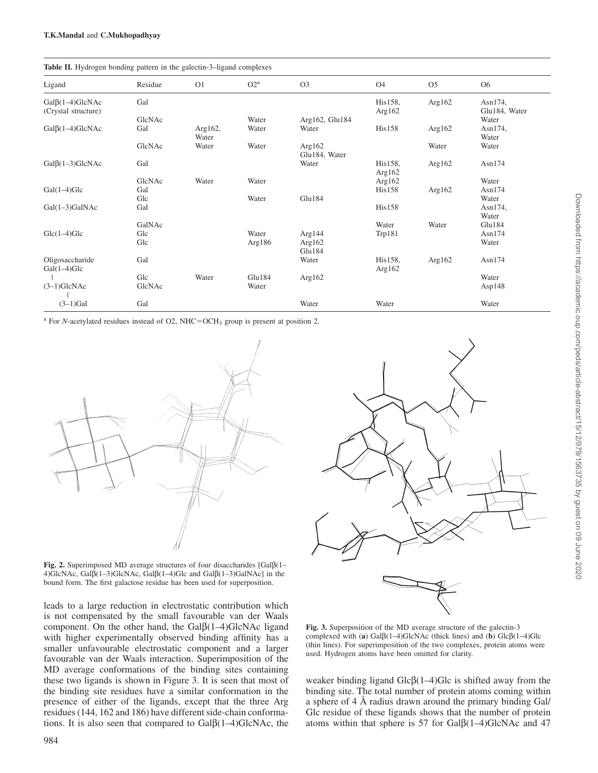| Ligand                                          | Residue | O <sub>1</sub>       | $O2^a$    | O <sub>3</sub>             | <b>O4</b>            | O <sub>5</sub> | O <sub>6</sub>               |
|-------------------------------------------------|---------|----------------------|-----------|----------------------------|----------------------|----------------|------------------------------|
| $Gal\beta(1–4)Glc\text{NAc}(Crystal structure)$ | Gal     |                      |           |                            | His158,<br>Arg $162$ | Arg $162$      | Asn $174$ ,<br>Glu184, Water |
|                                                 | GlcNAc  |                      | Water     | Arg162, Glu184             |                      |                | Water                        |
| $Gal\beta(1–4)GlcNAc$                           | Gal     | Arg $162$ ,<br>Water | Water     | Water                      | <b>His158</b>        | Arg $162$      | Asn174,<br>Water             |
|                                                 | GlcNAc  | Water                | Water     | Arg $162$<br>Glu184, Water |                      | Water          | Water                        |
| $Gal\beta(1–3)GlcNAc$                           | Gal     |                      |           | Water                      | His158,<br>Arg $162$ | Arg $162$      | Asn $174$                    |
|                                                 | GlcNAc  | Water                | Water     |                            | Arg $162$            |                | Water                        |
| $Gal(1-4)Glc$                                   | Gal     |                      |           |                            | His158               | Arg $162$      | Asn $174$                    |
|                                                 | Glc     |                      | Water     | Glu184                     |                      |                | Water                        |
| Gal(1-3)GalNAc                                  | Gal     |                      |           |                            | <b>His158</b>        |                | Asn174,<br>Water             |
|                                                 | GalNAc  |                      |           |                            | Water                | Water          | Glu184                       |
| $Glc(1-4)Glc$                                   | Glc     |                      | Water     | Arg $144$                  | Trp181               |                | Asn174                       |
|                                                 | Glc     |                      | Arg $186$ | Arg $162$<br>Glu184        |                      |                | Water                        |
| Oligosaccharide<br>$Gal(1-4)Glc$                | Gal     |                      |           | Water                      | His158,<br>Arg $162$ | Arg $162$      | Asn $174$                    |
|                                                 | Glc     | Water                | Glu184    | Arg $162$                  |                      |                | Water                        |
| $(3-1)$ GlcNAc                                  | GlcNAc  |                      | Water     |                            |                      |                | Asp $148$                    |
| $(3-1)$ Gal                                     | Gal     |                      |           | Water                      | Water                |                | Water                        |

<sup>a</sup> For *N*-acetylated residues instead of O2, NHC=OCH<sub>3</sub> group is present at position 2.



**Fig. 2.** Superimposed MD average structures of four disaccharides [Galβ(1– 4)GlcNAc, Galβ(1–3)GlcNAc, Galβ(1–4)Glc and Galβ(1–3)GalNAc] in the bound form. The first galactose residue has been used for superposition.

leads to a large reduction in electrostatic contribution which is not compensated by the small favourable van der Waals component. On the other hand, the Galβ(1–4)GlcNAc ligand with higher experimentally observed binding affinity has a smaller unfavourable electrostatic component and a larger favourable van der Waals interaction. Superimposition of the MD average conformations of the binding sites containing these two ligands is shown in Figure 3. It is seen that most of the binding site residues have a similar conformation in the presence of either of the ligands, except that the three Arg residues (144, 162 and 186) have different side-chain conformations. It is also seen that compared to  $Ga1\beta(1-4)G1cNAc$ , the



**Fig. 3.** Superposition of the MD average structure of the galectin-3 complexed with (**a**) Galβ(1–4)GlcNAc (thick lines) and (**b**) Glcβ(1–4)Glc (thin lines). For superimposition of the two complexes, protein atoms were used. Hydrogen atoms have been omitted for clarity.

weaker binding ligand Glcβ(1–4)Glc is shifted away from the binding site. The total number of protein atoms coming within a sphere of 4 Å radius drawn around the primary binding Gal/ Glc residue of these ligands shows that the number of protein atoms within that sphere is 57 for Gal $\beta$ (1–4)GlcNAc and 47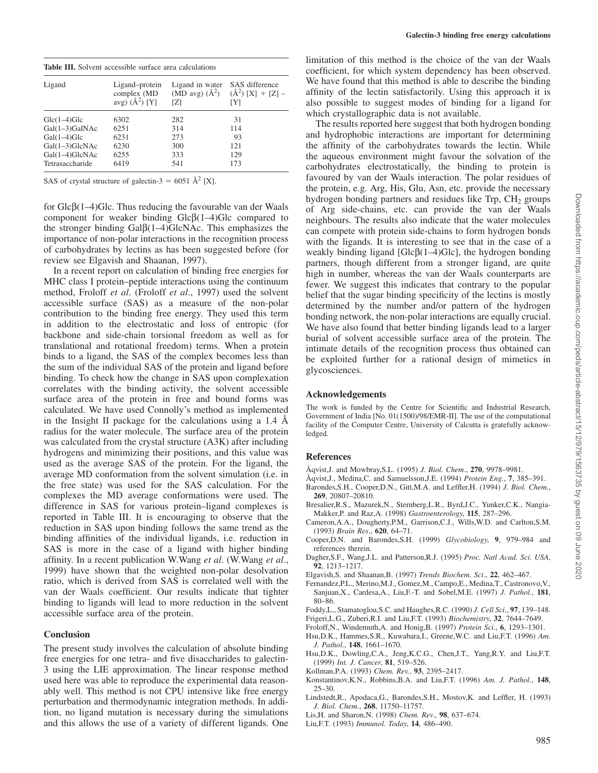| <b>Table III.</b> Solvent accessible surface area calculations |  |
|----------------------------------------------------------------|--|
|----------------------------------------------------------------|--|

| Ligand           | Ligand-protein<br>complex (MD<br>avg) $(\AA^2)$ [Y] | Ligand in water<br>(MD avg) $(\AA^2)$<br>[Z] | SAS difference<br>$(A^2)$ [X] + [Z] –<br>[Y] |
|------------------|-----------------------------------------------------|----------------------------------------------|----------------------------------------------|
| $Glc(1-4)Glc$    | 6302                                                | 282                                          | 31                                           |
| Gal(1-3)GalNAc   | 6251                                                | 314                                          | 114                                          |
| $Gal(1-4)Glc$    | 6231                                                | 273                                          | 93                                           |
| $Gal(1-3)GlcNAc$ | 6230                                                | 300                                          | 121                                          |
| Gal(1-4)GlcNAc   | 6255                                                | 333                                          | 129                                          |
| Tetrasaccharide  | 6419                                                | 541                                          | 173                                          |

SAS of crystal structure of galectin-3 = 6051  $\AA^2$  [X].

for  $\text{Glc}\beta(1-4)\text{Glc}$ . Thus reducing the favourable van der Waals component for weaker binding  $Glc \beta(1-4)Glc$  compared to the stronger binding Galβ(1–4)GlcNAc. This emphasizes the importance of non-polar interactions in the recognition process of carbohydrates by lectins as has been suggested before (for review see Elgavish and Shaanan, 1997).

In a recent report on calculation of binding free energies for MHC class I protein–peptide interactions using the continuum method, Froloff *et al*. (Froloff *et al*., 1997) used the solvent accessible surface (SAS) as a measure of the non-polar contribution to the binding free energy. They used this term in addition to the electrostatic and loss of entropic (for backbone and side-chain torsional freedom as well as for translational and rotational freedom) terms. When a protein binds to a ligand, the SAS of the complex becomes less than the sum of the individual SAS of the protein and ligand before binding. To check how the change in SAS upon complexation correlates with the binding activity, the solvent accessible surface area of the protein in free and bound forms was calculated. We have used Connolly's method as implemented in the Insight II package for the calculations using a 1.4 Å radius for the water molecule. The surface area of the protein was calculated from the crystal structure (A3K) after including hydrogens and minimizing their positions, and this value was used as the average SAS of the protein. For the ligand, the average MD conformation from the solvent simulation (i.e. in the free state) was used for the SAS calculation. For the complexes the MD average conformations were used. The difference in SAS for various protein–ligand complexes is reported in Table III. It is encouraging to observe that the reduction in SAS upon binding follows the same trend as the binding affinities of the individual ligands, i.e. reduction in SAS is more in the case of a ligand with higher binding affinity. In a recent publication W.Wang *et al*. (W.Wang *et al*., 1999) have shown that the weighted non-polar desolvation ratio, which is derived from SAS is correlated well with the van der Waals coefficient. Our results indicate that tighter binding to ligands will lead to more reduction in the solvent accessible surface area of the protein.

#### **Conclusion**

The present study involves the calculation of absolute binding free energies for one tetra- and five disaccharides to galectin-3 using the LIE approximation. The linear response method used here was able to reproduce the experimental data reasonably well. This method is not CPU intensive like free energy perturbation and thermodynamic integration methods. In addition, no ligand mutation is necessary during the simulations and this allows the use of a variety of different ligands. One

limitation of this method is the choice of the van der Waals coefficient, for which system dependency has been observed. We have found that this method is able to describe the binding affinity of the lectin satisfactorily. Using this approach it is also possible to suggest modes of binding for a ligand for which crystallographic data is not available.

The results reported here suggest that both hydrogen bonding and hydrophobic interactions are important for determining the affinity of the carbohydrates towards the lectin. While the aqueous environment might favour the solvation of the carbohydrates electrostatically, the binding to protein is favoured by van der Waals interaction. The polar residues of the protein, e.g. Arg, His, Glu, Asn, etc. provide the necessary hydrogen bonding partners and residues like  $Trp$ ,  $CH<sub>2</sub>$  groups of Arg side-chains, etc. can provide the van der Waals neighbours. The results also indicate that the water molecules can compete with protein side-chains to form hydrogen bonds with the ligands. It is interesting to see that in the case of a weakly binding ligand [Glcβ(1–4)Glc], the hydrogen bonding partners, though different from a stronger ligand, are quite high in number, whereas the van der Waals counterparts are fewer. We suggest this indicates that contrary to the popular belief that the sugar binding specificity of the lectins is mostly determined by the number and/or pattern of the hydrogen bonding network, the non-polar interactions are equally crucial. We have also found that better binding ligands lead to a larger burial of solvent accessible surface area of the protein. The intimate details of the recognition process thus obtained can be exploited further for a rational design of mimetics in glycosciences.

### **Acknowledgements**

The work is funded by the Centre for Scientific and Industrial Research, Government of India [No. 01(1500)/98/EMR-II]. The use of the computational facility of the Computer Centre, University of Calcutta is gratefully acknowledged.

#### **References**

- Åqvist,J. and Mowbray,S.L. (1995) *J. Biol. Chem*., **270**, 9978–9981.
- Åqvist,J., Medina,C. and Samuelsson,J.E. (1994) *Protein Eng.*, **7**, 385–391. Barondes,S.H., Cooper,D.N., Gitt,M.A. and Leffler,H. (1994) *J. Biol. Chem.*, **269**, 20807–20810.
- Bresalier,R.S., Mazurek,N., Sternberg,L.R., Byrd,J.C., Yunker,C.K., Nangia-Makker,P. and Raz,A. (1998) *Gastroenterology*, **115**, 287–296.
- Cameron,A.A., Dougherty,P.M., Garrison,C.J., Wills,W.D. and Carlton,S.M. (1993) *Brain Res*., **620**, 64–71.
- Cooper,D.N. and Barondes,S.H. (1999) *Glycobiology*, **9**, 979–984 and references therein.
- Dagher,S.F., Wang,J.L. and Patterson,R.J. (1995) *Proc. Natl Acad. Sci. USA*, **92**, 1213–1217.
- Elgavish,S. and Shaanan,B. (1997) *Trends Biochem. Sci*., **22**, 462–467.
- Fernandez,P.L., Merino,M.J., Gomez,M., Campo,E., Medina,T., Castronovo,V., Sanjuan,X., Cardesa,A., Liu,F.-T. and Sobel,M.E. (1997) *J. Pathol.*, **181**, 80–86.
- Foddy,L., Stamatoglou,S.C. and Haughes,R.C. (1990) *J. Cell Sci*., **97**, 139–148.
- Frigeri,L.G., Zuberi,R.I. and Liu,F.T. (1993) *Biochemistry*, **32**, 7644–7649.
- Froloff,N., Windemuth,A. and Honig,B. (1997) *Protein Sci*., **6**, 1293–1301.
- Hsu,D.K., Hammes,S.R., Kuwabara,I., Greene,W.C. and Liu,F.T. (1996) *Am. J. Pathol*., **148**, 1661–1670.
- Hsu,D.K., Dowling,C.A., Jeng,K.C.G., Chen,J.T., Yang,R.Y. and Liu,F.T. (1999) *Int. J. Cancer*, **81**, 519–526.
- Kollman,P.A. (1993) *Chem. Rev.*, **93**, 2395–2417.
- Konstantinov,K.N., Robbins,B.A. and Liu,F.T. (1996) *Am. J. Pathol.*, **148**,  $25 - 30.$
- Lindstedt,R., Apodaca,G., Barondes,S.H., Mostov,K. and Leffler, H. (1993) *J. Biol. Chem.*, **268**, 11750–11757.
- Lis,H. and Sharon,N. (1998) *Chem. Rev*., **98**, 637–674.
- Liu,F.T. (1993) *Immunol. Today*, **14**, 486–490.